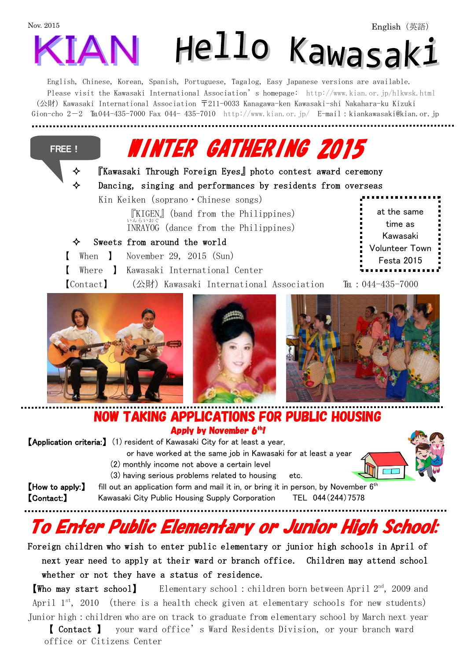







#### NOW TAKING APPLICATIONS FOR PUBLIC HOUSING Apply by November 6<sup>th</sup>!

【Application criteria:】 (1) resident of Kawasaki City for at least a year, or have worked at the same job in Kawasaki for at least a year (2) monthly income not above a certain level (3) having serious problems related to housing etc. **【How to apply:】** fill out an application form and mail it in, or bring it in person, by November 6<sup>th</sup> 【Contact:】 Kawasaki City Public Housing Supply Corporation TEL 044(244)7578

# To Enter Public Elementary or Junior High School:

Foreign children who wish to enter public elementary or junior high schools in April of next year need to apply at their ward or branch office. Children may attend school whether or not they have a status of residence.

【Who may start school】 Elementary school:children born between April 2nd, 2009 and April  $1^{st}$ , 2010 (there is a health check given at elementary schools for new students) Junior high: children who are on track to graduate from elementary school by March next year

【 Contact 】 your ward office's Ward Residents Division, or your branch ward office or Citizens Center